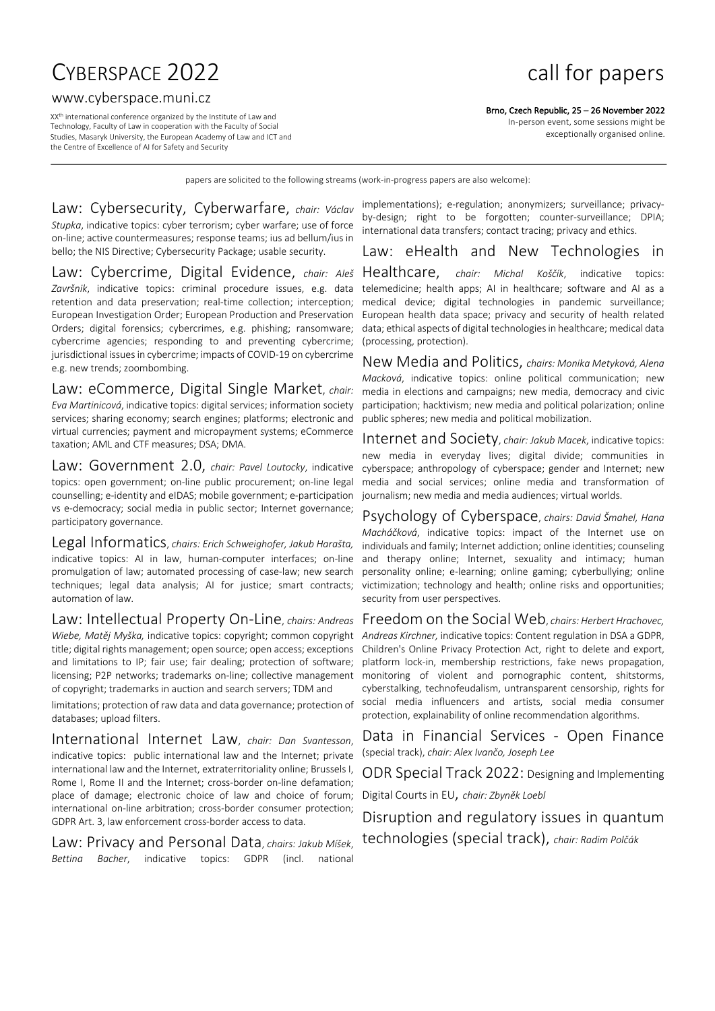# CYBERSPACE 2022 **call for papers**

#### www.cyberspace.muni.cz

XXth international conference organized by the Institute of Law and Technology, Faculty of Law in cooperation with the Faculty of Social Studies, Masaryk University, the European Academy of Law and ICT and the Centre of Excellence of AI for Safety and Security

Brno, Czech Republic, 25 – 26 November 2022

In-person event, some sessions might be exceptionally organised online.

papers are solicited to the following streams (work-in-progress papers are also welcome):

Law: Cybersecurity, Cyberwarfare, *chair: Václav Stupka*, indicative topics: cyber terrorism; cyber warfare; use of force on-line; active countermeasures; response teams; ius ad bellum/ius in bello; the NIS Directive; Cybersecurity Package; usable security.

Law: Cybercrime, Digital Evidence, *chair: Aleš Završnik*, indicative topics: criminal procedure issues, e.g. data retention and data preservation; real-time collection; interception; European Investigation Order; European Production and Preservation Orders; digital forensics; cybercrimes, e.g. phishing; ransomware; cybercrime agencies; responding to and preventing cybercrime; jurisdictional issues in cybercrime; impacts of COVID-19 on cybercrime e.g. new trends; zoombombing.

#### Law: eCommerce, Digital Single Market, *chair:*

*Eva Martinicová*, indicative topics: digital services; information society services; sharing economy; search engines; platforms; electronic and virtual currencies; payment and micropayment systems; eCommerce taxation; AML and CTF measures; DSA; DMA.

Law: Government 2.0, *chair: Pavel Loutocky*, indicative topics: open government; on-line public procurement; on-line legal counselling; e-identity and eIDAS; mobile government; e-participation vs e-democracy; social media in public sector; Internet governance; participatory governance.

Legal Informatics, *chairs: Erich Schweighofer, Jakub Harašta,* indicative topics: AI in law, human-computer interfaces; on-line promulgation of law; automated processing of case-law; new search techniques; legal data analysis; AI for justice; smart contracts; automation of law.

Law: Intellectual Property On-Line, *chairs: Andreas Wiebe, Matěj Myška,* indicative topics: copyright; common copyright title; digital rights management; open source; open access; exceptions and limitations to IP; fair use; fair dealing; protection of software; licensing; P2P networks; trademarks on-line; collective management of copyright; trademarks in auction and search servers; TDM and

limitations; protection of raw data and data governance; protection of databases; upload filters.

International Internet Law, *chair: Dan Svantesson*, indicative topics: public international law and the Internet; private international law and the Internet, extraterritoriality online; Brussels I, Rome I, Rome II and the Internet; cross-border on-line defamation; place of damage; electronic choice of law and choice of forum; international on-line arbitration; cross-border consumer protection; GDPR Art. 3, law enforcement cross-border access to data.

Law: Privacy and Personal Data, *chairs: Jakub Míšek*, *Bettina Bacher*, indicative topics: GDPR (incl. national

implementations); e-regulation; anonymizers; surveillance; privacyby-design; right to be forgotten; counter-surveillance; DPIA; international data transfers; contact tracing; privacy and ethics.

# Law: eHealth and New Technologies in

Healthcare, *chair: Michal Koščík*, indicative topics: telemedicine; health apps; AI in healthcare; software and AI as a medical device; digital technologies in pandemic surveillance; European health data space; privacy and security of health related data; ethical aspects of digital technologies in healthcare; medical data (processing, protection).

New Media and Politics, *chairs: Monika Metyková, Alena Macková*, indicative topics: online political communication; new media in elections and campaigns; new media, democracy and civic participation; hacktivism; new media and political polarization; online public spheres; new media and political mobilization.

Internet and Society, *chair: Jakub Macek*, indicative topics: new media in everyday lives; digital divide; communities in cyberspace; anthropology of cyberspace; gender and Internet; new media and social services; online media and transformation of journalism; new media and media audiences; virtual worlds.

Psychology of Cyberspace, *chairs: David Šmahel, Hana Macháčková*, indicative topics: impact of the Internet use on individuals and family; Internet addiction; online identities; counseling and therapy online; Internet, sexuality and intimacy; human personality online; e-learning; online gaming; cyberbullying; online victimization; technology and health; online risks and opportunities; security from user perspectives.

Freedom on the Social Web, *chairs: Herbert Hrachovec, Andreas Kirchner,* indicative topics: Content regulation in DSA a GDPR, Children's Online Privacy Protection Act, right to delete and export, platform lock-in, membership restrictions, fake news propagation, monitoring of violent and pornographic content, shitstorms, cyberstalking, technofeudalism, untransparent censorship, rights for social media influencers and artists, social media consumer protection, explainability of online recommendation algorithms.

Data in Financial Services - Open Finance (special track), *chair: Alex Ivančo, Joseph Lee*

ODR Special Track 2022: Designing and Implementing

Digital Courts in EU, *chair: Zbyněk Loebl*

Disruption and regulatory issues in quantum technologies (special track), *chair: Radim Polčák*